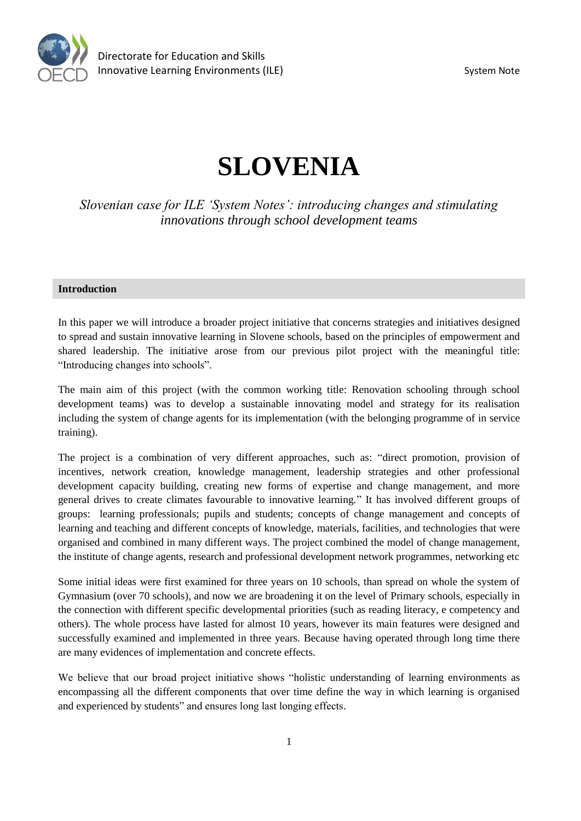

# **SLOVENIA**

*Slovenian case for ILE 'System Notes': introducing changes and stimulating innovations through school development teams*

### **Introduction**

In this paper we will introduce a broader project initiative that concerns strategies and initiatives designed to spread and sustain innovative learning in Slovene schools, based on the principles of empowerment and shared leadership. The initiative arose from our previous pilot project with the meaningful title: "Introducing changes into schools".

The main aim of this project (with the common working title: Renovation schooling through school development teams) was to develop a sustainable innovating model and strategy for its realisation including the system of change agents for its implementation (with the belonging programme of in service training).

The project is a combination of very different approaches, such as: "direct promotion, provision of incentives, network creation, knowledge management, leadership strategies and other professional development capacity building, creating new forms of expertise and change management, and more general drives to create climates favourable to innovative learning." It has involved different groups of groups: learning professionals; pupils and students; concepts of change management and concepts of learning and teaching and different concepts of knowledge, materials, facilities, and technologies that were organised and combined in many different ways. The project combined the model of change management, the institute of change agents, research and professional development network programmes, networking etc

Some initial ideas were first examined for three years on 10 schools, than spread on whole the system of Gymnasium (over 70 schools), and now we are broadening it on the level of Primary schools, especially in the connection with different specific developmental priorities (such as reading literacy, e competency and others). The whole process have lasted for almost 10 years, however its main features were designed and successfully examined and implemented in three years. Because having operated through long time there are many evidences of implementation and concrete effects.

We believe that our broad project initiative shows "holistic understanding of learning environments as encompassing all the different components that over time define the way in which learning is organised and experienced by students" and ensures long last longing effects.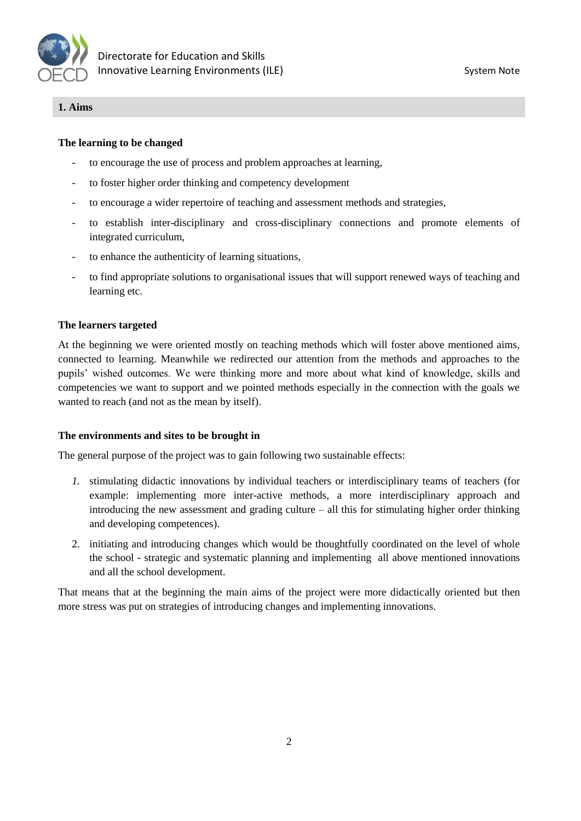

### **1. Aims**

## **The learning to be changed**

- to encourage the use of process and problem approaches at learning,
- to foster higher order thinking and competency development
- to encourage a wider repertoire of teaching and assessment methods and strategies,
- to establish inter-disciplinary and cross-disciplinary connections and promote elements of integrated curriculum,
- to enhance the authenticity of learning situations,
- to find appropriate solutions to organisational issues that will support renewed ways of teaching and learning etc.

### **The learners targeted**

At the beginning we were oriented mostly on teaching methods which will foster above mentioned aims, connected to learning. Meanwhile we redirected our attention from the methods and approaches to the pupils' wished outcomes. We were thinking more and more about what kind of knowledge, skills and competencies we want to support and we pointed methods especially in the connection with the goals we wanted to reach (and not as the mean by itself).

#### **The environments and sites to be brought in**

The general purpose of the project was to gain following two sustainable effects:

- *1.* stimulating didactic innovations by individual teachers or interdisciplinary teams of teachers (for example: implementing more inter-active methods, a more interdisciplinary approach and introducing the new assessment and grading culture – all this for stimulating higher order thinking and developing competences).
- 2. initiating and introducing changes which would be thoughtfully coordinated on the level of whole the school - strategic and systematic planning and implementing all above mentioned innovations and all the school development.

That means that at the beginning the main aims of the project were more didactically oriented but then more stress was put on strategies of introducing changes and implementing innovations.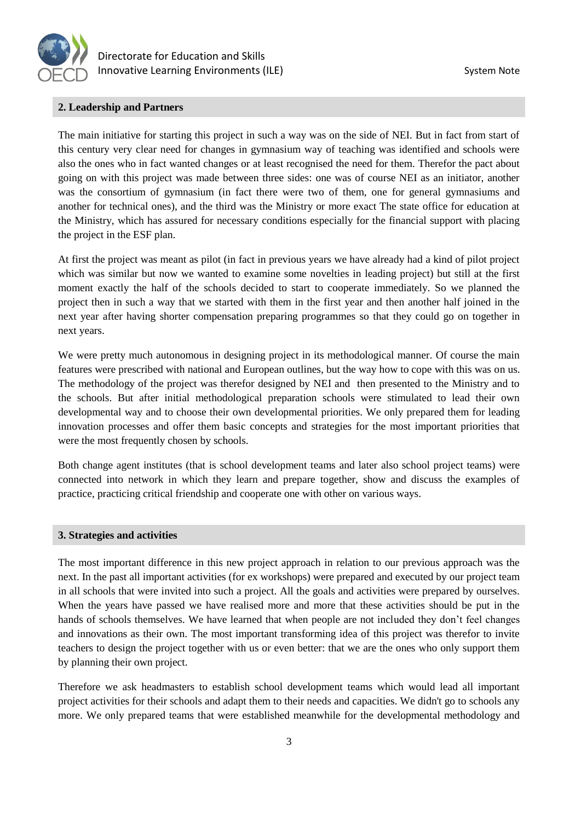

#### **2. Leadership and Partners**

The main initiative for starting this project in such a way was on the side of NEI. But in fact from start of this century very clear need for changes in gymnasium way of teaching was identified and schools were also the ones who in fact wanted changes or at least recognised the need for them. Therefor the pact about going on with this project was made between three sides: one was of course NEI as an initiator, another was the consortium of gymnasium (in fact there were two of them, one for general gymnasiums and another for technical ones), and the third was the Ministry or more exact The state office for education at the Ministry, which has assured for necessary conditions especially for the financial support with placing the project in the ESF plan.

At first the project was meant as pilot (in fact in previous years we have already had a kind of pilot project which was similar but now we wanted to examine some novelties in leading project) but still at the first moment exactly the half of the schools decided to start to cooperate immediately. So we planned the project then in such a way that we started with them in the first year and then another half joined in the next year after having shorter compensation preparing programmes so that they could go on together in next years.

We were pretty much autonomous in designing project in its methodological manner. Of course the main features were prescribed with national and European outlines, but the way how to cope with this was on us. The methodology of the project was therefor designed by NEI and then presented to the Ministry and to the schools. But after initial methodological preparation schools were stimulated to lead their own developmental way and to choose their own developmental priorities. We only prepared them for leading innovation processes and offer them basic concepts and strategies for the most important priorities that were the most frequently chosen by schools.

Both change agent institutes (that is school development teams and later also school project teams) were connected into network in which they learn and prepare together, show and discuss the examples of practice, practicing critical friendship and cooperate one with other on various ways.

#### **3. Strategies and activities**

The most important difference in this new project approach in relation to our previous approach was the next. In the past all important activities (for ex workshops) were prepared and executed by our project team in all schools that were invited into such a project. All the goals and activities were prepared by ourselves. When the years have passed we have realised more and more that these activities should be put in the hands of schools themselves. We have learned that when people are not included they don't feel changes and innovations as their own. The most important transforming idea of this project was therefor to invite teachers to design the project together with us or even better: that we are the ones who only support them by planning their own project.

Therefore we ask headmasters to establish school development teams which would lead all important project activities for their schools and adapt them to their needs and capacities. We didn't go to schools any more. We only prepared teams that were established meanwhile for the developmental methodology and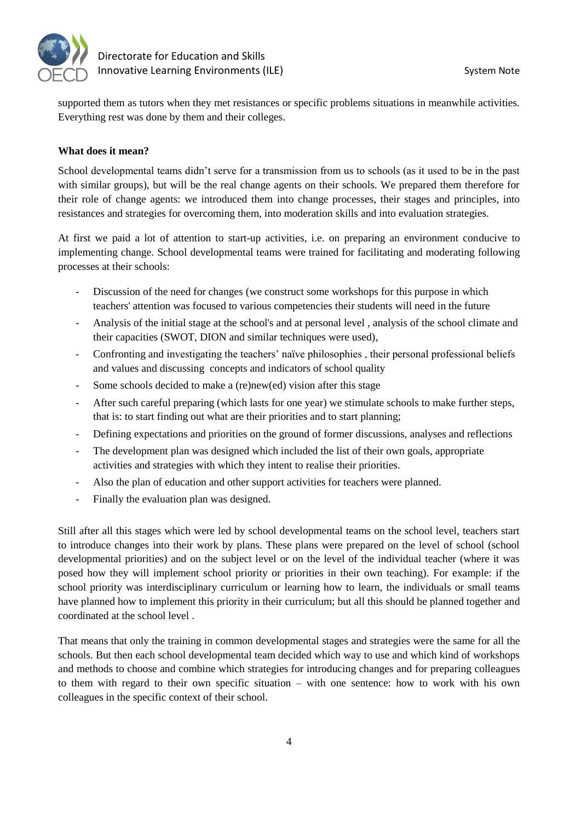

supported them as tutors when they met resistances or specific problems situations in meanwhile activities. Everything rest was done by them and their colleges.

## **What does it mean?**

School developmental teams didn't serve for a transmission from us to schools (as it used to be in the past with similar groups), but will be the real change agents on their schools. We prepared them therefore for their role of change agents: we introduced them into change processes, their stages and principles, into resistances and strategies for overcoming them, into moderation skills and into evaluation strategies.

At first we paid a lot of attention to start-up activities, i.e. on preparing an environment conducive to implementing change. School developmental teams were trained for facilitating and moderating following processes at their schools:

- Discussion of the need for changes (we construct some workshops for this purpose in which teachers' attention was focused to various competencies their students will need in the future
- Analysis of the initial stage at the school's and at personal level , analysis of the school climate and their capacities (SWOT, DION and similar techniques were used),
- Confronting and investigating the teachers' naïve philosophies , their personal professional beliefs and values and discussing concepts and indicators of school quality
- Some schools decided to make a (re)new(ed) vision after this stage
- After such careful preparing (which lasts for one year) we stimulate schools to make further steps, that is: to start finding out what are their priorities and to start planning;
- Defining expectations and priorities on the ground of former discussions, analyses and reflections
- The development plan was designed which included the list of their own goals, appropriate activities and strategies with which they intent to realise their priorities.
- Also the plan of education and other support activities for teachers were planned.
- Finally the evaluation plan was designed.

Still after all this stages which were led by school developmental teams on the school level, teachers start to introduce changes into their work by plans. These plans were prepared on the level of school (school developmental priorities) and on the subject level or on the level of the individual teacher (where it was posed how they will implement school priority or priorities in their own teaching). For example: if the school priority was interdisciplinary curriculum or learning how to learn, the individuals or small teams have planned how to implement this priority in their curriculum; but all this should be planned together and coordinated at the school level .

That means that only the training in common developmental stages and strategies were the same for all the schools. But then each school developmental team decided which way to use and which kind of workshops and methods to choose and combine which strategies for introducing changes and for preparing colleagues to them with regard to their own specific situation – with one sentence: how to work with his own colleagues in the specific context of their school.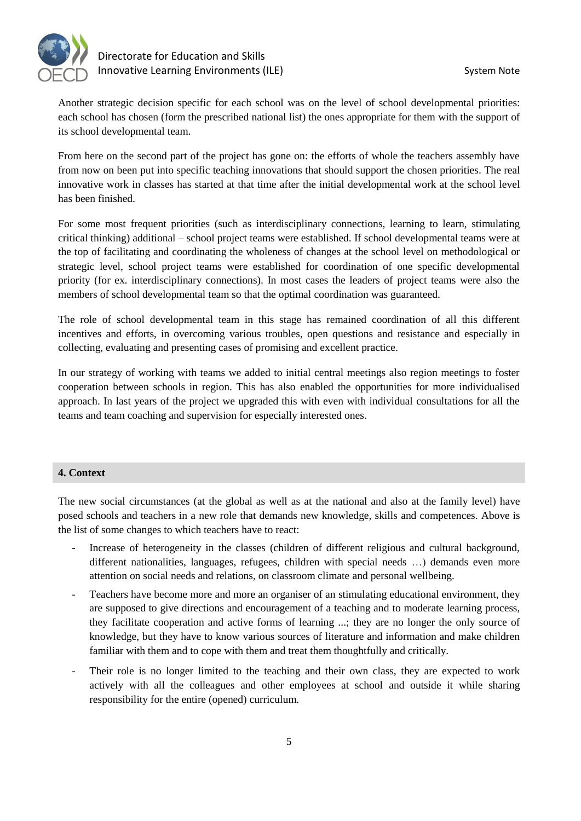

Another strategic decision specific for each school was on the level of school developmental priorities: each school has chosen (form the prescribed national list) the ones appropriate for them with the support of its school developmental team.

From here on the second part of the project has gone on: the efforts of whole the teachers assembly have from now on been put into specific teaching innovations that should support the chosen priorities. The real innovative work in classes has started at that time after the initial developmental work at the school level has been finished.

For some most frequent priorities (such as interdisciplinary connections, learning to learn, stimulating critical thinking) additional – school project teams were established. If school developmental teams were at the top of facilitating and coordinating the wholeness of changes at the school level on methodological or strategic level, school project teams were established for coordination of one specific developmental priority (for ex. interdisciplinary connections). In most cases the leaders of project teams were also the members of school developmental team so that the optimal coordination was guaranteed.

The role of school developmental team in this stage has remained coordination of all this different incentives and efforts, in overcoming various troubles, open questions and resistance and especially in collecting, evaluating and presenting cases of promising and excellent practice.

In our strategy of working with teams we added to initial central meetings also region meetings to foster cooperation between schools in region. This has also enabled the opportunities for more individualised approach. In last years of the project we upgraded this with even with individual consultations for all the teams and team coaching and supervision for especially interested ones.

#### **4. Context**

The new social circumstances (at the global as well as at the national and also at the family level) have posed schools and teachers in a new role that demands new knowledge, skills and competences. Above is the list of some changes to which teachers have to react:

- Increase of heterogeneity in the classes (children of different religious and cultural background, different nationalities, languages, refugees, children with special needs …) demands even more attention on social needs and relations, on classroom climate and personal wellbeing.
- Teachers have become more and more an organiser of an stimulating educational environment, they are supposed to give directions and encouragement of a teaching and to moderate learning process, they facilitate cooperation and active forms of learning ...; they are no longer the only source of knowledge, but they have to know various sources of literature and information and make children familiar with them and to cope with them and treat them thoughtfully and critically.
- Their role is no longer limited to the teaching and their own class, they are expected to work actively with all the colleagues and other employees at school and outside it while sharing responsibility for the entire (opened) curriculum.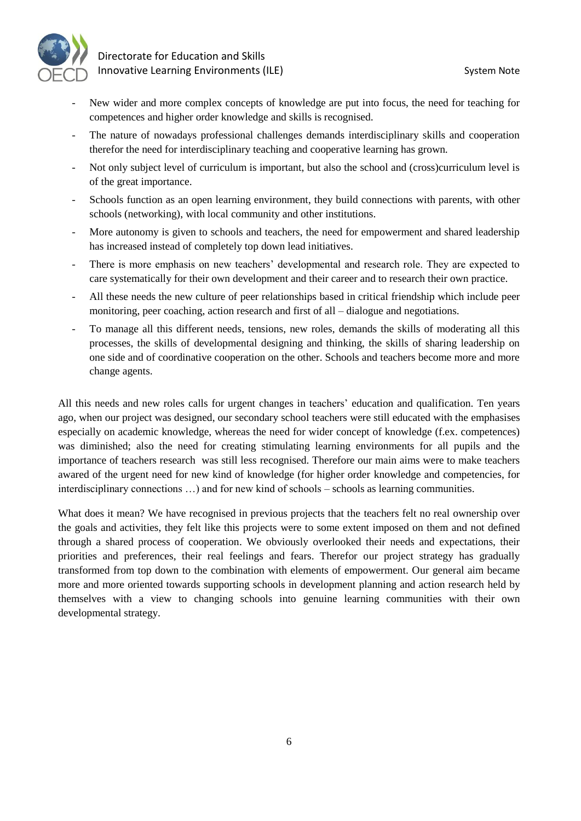



- New wider and more complex concepts of knowledge are put into focus, the need for teaching for competences and higher order knowledge and skills is recognised.
- The nature of nowadays professional challenges demands interdisciplinary skills and cooperation therefor the need for interdisciplinary teaching and cooperative learning has grown.
- Not only subject level of curriculum is important, but also the school and (cross)curriculum level is of the great importance.
- Schools function as an open learning environment, they build connections with parents, with other schools (networking), with local community and other institutions.
- More autonomy is given to schools and teachers, the need for empowerment and shared leadership has increased instead of completely top down lead initiatives.
- There is more emphasis on new teachers' developmental and research role. They are expected to care systematically for their own development and their career and to research their own practice.
- All these needs the new culture of peer relationships based in critical friendship which include peer monitoring, peer coaching, action research and first of all – dialogue and negotiations.
- To manage all this different needs, tensions, new roles, demands the skills of moderating all this processes, the skills of developmental designing and thinking, the skills of sharing leadership on one side and of coordinative cooperation on the other. Schools and teachers become more and more change agents.

All this needs and new roles calls for urgent changes in teachers' education and qualification. Ten years ago, when our project was designed, our secondary school teachers were still educated with the emphasises especially on academic knowledge, whereas the need for wider concept of knowledge (f.ex. competences) was diminished; also the need for creating stimulating learning environments for all pupils and the importance of teachers research was still less recognised. Therefore our main aims were to make teachers awared of the urgent need for new kind of knowledge (for higher order knowledge and competencies, for interdisciplinary connections …) and for new kind of schools – schools as learning communities.

What does it mean? We have recognised in previous projects that the teachers felt no real ownership over the goals and activities, they felt like this projects were to some extent imposed on them and not defined through a shared process of cooperation. We obviously overlooked their needs and expectations, their priorities and preferences, their real feelings and fears. Therefor our project strategy has gradually transformed from top down to the combination with elements of empowerment. Our general aim became more and more oriented towards supporting schools in development planning and action research held by themselves with a view to changing schools into genuine learning communities with their own developmental strategy.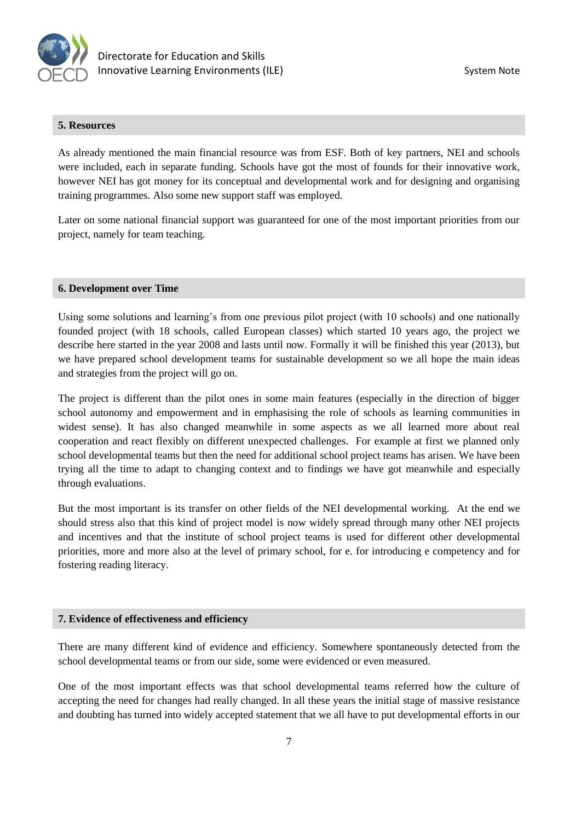

#### **5. Resources**

As already mentioned the main financial resource was from ESF. Both of key partners, NEI and schools were included, each in separate funding. Schools have got the most of founds for their innovative work, however NEI has got money for its conceptual and developmental work and for designing and organising training programmes. Also some new support staff was employed.

Later on some national financial support was guaranteed for one of the most important priorities from our project, namely for team teaching.

#### **6. Development over Time**

Using some solutions and learning's from one previous pilot project (with 10 schools) and one nationally founded project (with 18 schools, called European classes) which started 10 years ago, the project we describe here started in the year 2008 and lasts until now. Formally it will be finished this year (2013), but we have prepared school development teams for sustainable development so we all hope the main ideas and strategies from the project will go on.

The project is different than the pilot ones in some main features (especially in the direction of bigger school autonomy and empowerment and in emphasising the role of schools as learning communities in widest sense). It has also changed meanwhile in some aspects as we all learned more about real cooperation and react flexibly on different unexpected challenges. For example at first we planned only school developmental teams but then the need for additional school project teams has arisen. We have been trying all the time to adapt to changing context and to findings we have got meanwhile and especially through evaluations.

But the most important is its transfer on other fields of the NEI developmental working. At the end we should stress also that this kind of project model is now widely spread through many other NEI projects and incentives and that the institute of school project teams is used for different other developmental priorities, more and more also at the level of primary school, for e. for introducing e competency and for fostering reading literacy.

#### **7. Evidence of effectiveness and efficiency**

There are many different kind of evidence and efficiency. Somewhere spontaneously detected from the school developmental teams or from our side, some were evidenced or even measured.

One of the most important effects was that school developmental teams referred how the culture of accepting the need for changes had really changed. In all these years the initial stage of massive resistance and doubting has turned into widely accepted statement that we all have to put developmental efforts in our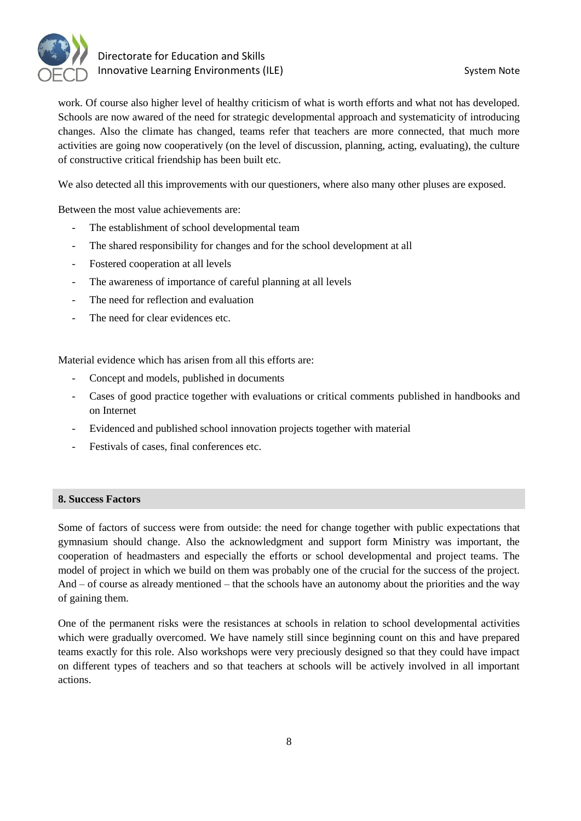

work. Of course also higher level of healthy criticism of what is worth efforts and what not has developed. Schools are now awared of the need for strategic developmental approach and systematicity of introducing changes. Also the climate has changed, teams refer that teachers are more connected, that much more activities are going now cooperatively (on the level of discussion, planning, acting, evaluating), the culture of constructive critical friendship has been built etc.

We also detected all this improvements with our questioners, where also many other pluses are exposed.

Between the most value achievements are:

- The establishment of school developmental team
- The shared responsibility for changes and for the school development at all
- Fostered cooperation at all levels
- The awareness of importance of careful planning at all levels
- The need for reflection and evaluation
- The need for clear evidences etc.

Material evidence which has arisen from all this efforts are:

- Concept and models, published in documents
- Cases of good practice together with evaluations or critical comments published in handbooks and on Internet
- Evidenced and published school innovation projects together with material
- Festivals of cases, final conferences etc.

## **8. Success Factors**

Some of factors of success were from outside: the need for change together with public expectations that gymnasium should change. Also the acknowledgment and support form Ministry was important, the cooperation of headmasters and especially the efforts or school developmental and project teams. The model of project in which we build on them was probably one of the crucial for the success of the project. And – of course as already mentioned – that the schools have an autonomy about the priorities and the way of gaining them.

One of the permanent risks were the resistances at schools in relation to school developmental activities which were gradually overcomed. We have namely still since beginning count on this and have prepared teams exactly for this role. Also workshops were very preciously designed so that they could have impact on different types of teachers and so that teachers at schools will be actively involved in all important actions.